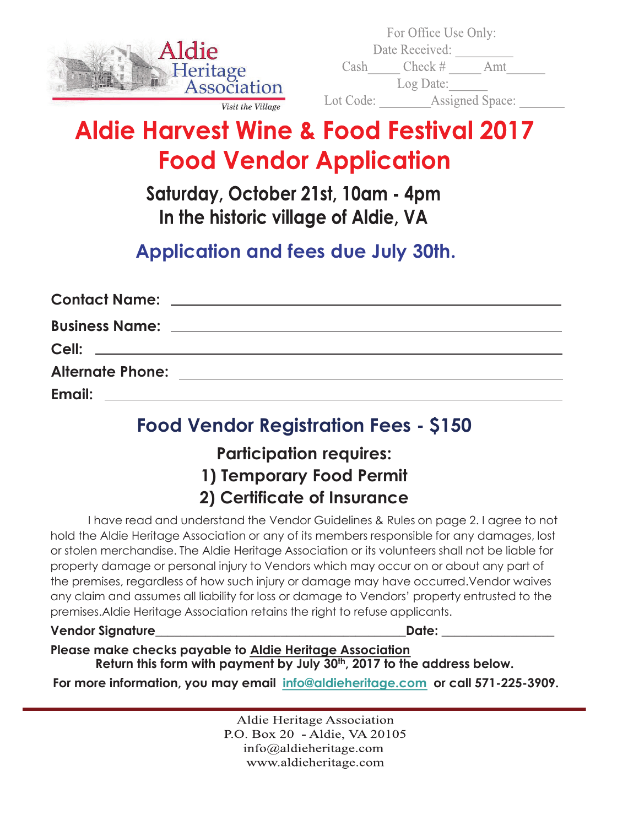

|          | For Office Use Only: |                        |
|----------|----------------------|------------------------|
|          | Date Received:       |                        |
| Cash     | $Check \#$           | Amt                    |
|          | Log Date:            |                        |
| ot Code: |                      | <b>Assigned Space:</b> |

# **Aldie Harvest Wine & Food Festival 2017 Food Vendor Application**

 $\mathbf{L}$ 

Saturday, October 21st, 10am - 4pm In the historic village of Aldie, VA

## **Application and fees due July 30th.**

### **Food Vendor Registration Fees - \$150**

### **Participation requires: 1) Temporary Food Permit 2) Certificate of Insurance**

I have read and understand the Vendor Guidelines & Rules on page 2. I agree to not hold the Aldie Heritage Association or any of its members responsible for any damages, lost or stolen merchandise. The Aldie Heritage Association or its volunteers shall not be liable for property damage or personal injury to Vendors which may occur on or about any part of the premises, regardless of how such injury or damage may have occurred.Vendor waives any claim and assumes all liability for loss or damage to Vendors' property entrusted to the premises.Aldie Heritage Association retains the right to refuse applicants.

#### **Vendor Signature**\_\_\_\_\_\_\_\_\_\_\_\_\_\_\_\_\_\_\_\_\_\_\_\_\_\_\_\_\_\_\_\_\_\_\_\_\_\_\_\_**Date:** \_\_\_\_\_\_\_\_\_\_\_\_\_\_\_\_\_\_

**Please make checks payable to Aldie Heritage Association Return this form with payment by July 30th, 2017 to the address below.** 

**For more information, you may email info@aldieheritage.com or call 571-225-3909.**

**Aldie Heritage Association** P.O. Box 20 - Aldie, VA 20105  $info@$ aldieheritage.com www.aldieheritage.com